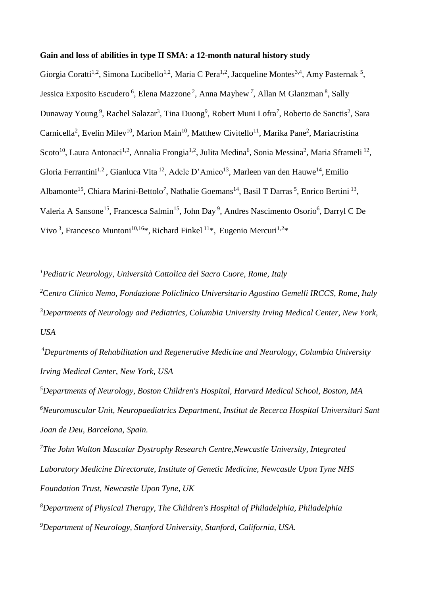## **Gain and loss of abilities in type II SMA: a 12-month natural history study**

Giorgia Coratti<sup>1,2</sup>, Simona Lucibello<sup>1,2</sup>, Maria C Pera<sup>1,2</sup>, Jacqueline Montes<sup>3,4</sup>, Amy Pasternak<sup>5</sup>, Jessica Exposito Escudero<sup>6</sup>, Elena Mazzone<sup>2</sup>, Anna Mayhew<sup>7</sup>, Allan M Glanzman<sup>8</sup>, Sally Dunaway Young<sup>9</sup>, Rachel Salazar<sup>3</sup>, Tina Duong<sup>9</sup>, Robert Muni Lofra<sup>7</sup>, Roberto de Sanctis<sup>2</sup>, Sara Carnicella<sup>2</sup>, Evelin Milev<sup>10</sup>, Marion Main<sup>10</sup>, Matthew Civitello<sup>11</sup>, Marika Pane<sup>2</sup>, Mariacristina Scoto<sup>10</sup>, Laura Antonaci<sup>1,2</sup>, Annalia Frongia<sup>1,2</sup>, Julita Medina<sup>6</sup>, Sonia Messina<sup>2</sup>, Maria Sframeli<sup>12</sup>, Gloria Ferrantini<sup>1,2</sup>, Gianluca Vita<sup>12</sup>, Adele D'Amico<sup>13</sup>, Marleen van den Hauwe<sup>14</sup>, Emilio Albamonte<sup>15</sup>, Chiara Marini-Bettolo<sup>7</sup>, Nathalie Goemans<sup>14</sup>, Basil T Darras<sup>5</sup>, Enrico Bertini<sup>13</sup>, Valeria A Sansone<sup>15</sup>, Francesca Salmin<sup>15</sup>, John Day<sup>9</sup>, Andres Nascimento Osorio<sup>6</sup>, Darryl C De Vivo<sup>3</sup>, Francesco Muntoni<sup>10,16\*</sup>, Richard Finkel<sup>11\*</sup>, Eugenio Mercuri<sup>1,2\*</sup>

*<sup>1</sup>Pediatric Neurology, Università Cattolica del Sacro Cuore, Rome, Italy*

*<sup>2</sup>*C*entro Clinico Nemo, Fondazione Policlinico Universitario Agostino Gemelli IRCCS, Rome, Italy <sup>3</sup>Departments of Neurology and Pediatrics, Columbia University Irving Medical Center, New York, USA*

*<sup>4</sup>Departments of Rehabilitation and Regenerative Medicine and Neurology, Columbia University Irving Medical Center, New York, USA*

*<sup>5</sup>Departments of Neurology, Boston Children's Hospital, Harvard Medical School, Boston, MA <sup>6</sup>Neuromuscular Unit, Neuropaediatrics Department, Institut de Recerca Hospital Universitari Sant Joan de Deu, Barcelona, Spain.*

*<sup>7</sup>The John Walton Muscular Dystrophy Research Centre,Newcastle University, Integrated Laboratory Medicine Directorate, Institute of Genetic Medicine, Newcastle Upon Tyne NHS Foundation Trust, Newcastle Upon Tyne, UK*

*<sup>8</sup>Department of Physical Therapy, The Children's Hospital of Philadelphia, Philadelphia <sup>9</sup>Department of Neurology, Stanford University, Stanford, California, USA.*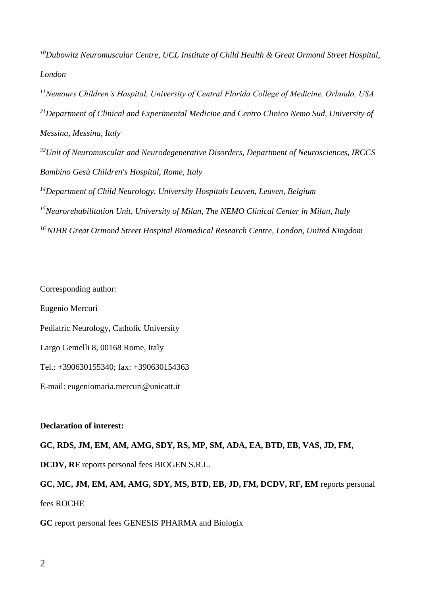*<sup>10</sup>Dubowitz Neuromuscular Centre, UCL Institute of Child Health & Great Ormond Street Hospital, London*

*<sup>11</sup>Nemours Children's Hospital, University of Central Florida College of Medicine, Orlando, USA <sup>21</sup>Department of Clinical and Experimental Medicine and Centro Clinico Nemo Sud, University of Messina, Messina, Italy*

*<sup>32</sup>Unit of Neuromuscular and Neurodegenerative Disorders, Department of Neurosciences, IRCCS Bambino Gesù Children's Hospital, Rome, Italy*

*<sup>14</sup>Department of Child Neurology, University Hospitals Leuven, Leuven, Belgium*

*<sup>15</sup>Neurorehabilitation Unit, University of Milan, The NEMO Clinical Center in Milan, Italy*

*<sup>16</sup>NIHR Great Ormond Street Hospital Biomedical Research Centre, London, United Kingdom*

Corresponding author: Eugenio Mercuri Pediatric Neurology, Catholic University Largo Gemelli 8, 00168 Rome, Italy Tel.: +390630155340; fax: +390630154363 E-mail: eugeniomaria.mercuri@unicatt.it

## **Declaration of interest:**

# **GC, RDS, JM, EM, AM, AMG, SDY, RS, MP, SM, ADA, EA, BTD, EB, VAS, JD, FM,**

**DCDV, RF** reports personal fees BIOGEN S.R.L.

**GC, MC, JM, EM, AM, AMG, SDY, MS, BTD, EB, JD, FM, DCDV, RF, EM** reports personal fees ROCHE

**GC** report personal fees GENESIS PHARMA and Biologix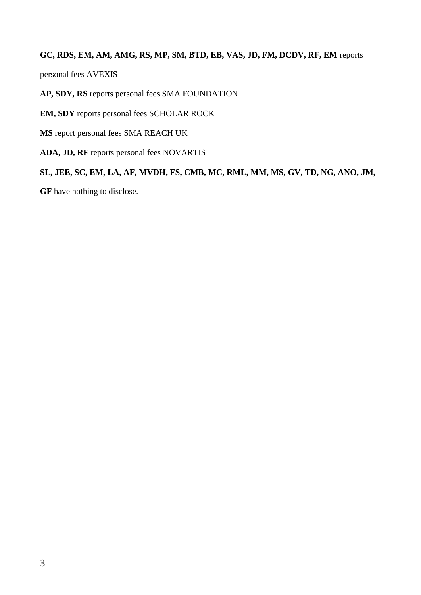## **GC, RDS, EM, AM, AMG, RS, MP, SM, BTD, EB, VAS, JD, FM, DCDV, RF, EM** reports

personal fees AVEXIS

**AP, SDY, RS** reports personal fees SMA FOUNDATION

**EM, SDY** reports personal fees SCHOLAR ROCK

**MS** report personal fees SMA REACH UK

**ADA, JD, RF** reports personal fees NOVARTIS

**SL, JEE, SC, EM, LA, AF, MVDH, FS, CMB, MC, RML, MM, MS, GV, TD, NG, ANO, JM,** 

**GF** have nothing to disclose.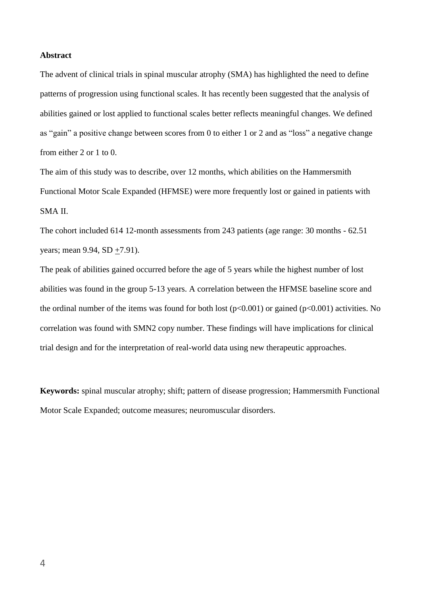#### **Abstract**

The advent of clinical trials in spinal muscular atrophy (SMA) has highlighted the need to define patterns of progression using functional scales. It has recently been suggested that the analysis of abilities gained or lost applied to functional scales better reflects meaningful changes. We defined as "gain" a positive change between scores from 0 to either 1 or 2 and as "loss" a negative change from either 2 or 1 to 0.

The aim of this study was to describe, over 12 months, which abilities on the Hammersmith Functional Motor Scale Expanded (HFMSE) were more frequently lost or gained in patients with SMA II.

The cohort included 614 12-month assessments from 243 patients (age range: 30 months - 62.51 years; mean 9.94, SD  $+7.91$ ).

The peak of abilities gained occurred before the age of 5 years while the highest number of lost abilities was found in the group 5-13 years. A correlation between the HFMSE baseline score and the ordinal number of the items was found for both lost  $(p<0.001)$  or gained  $(p<0.001)$  activities. No correlation was found with SMN2 copy number. These findings will have implications for clinical trial design and for the interpretation of real-world data using new therapeutic approaches.

**Keywords:** spinal muscular atrophy; shift; pattern of disease progression; Hammersmith Functional Motor Scale Expanded; outcome measures; neuromuscular disorders.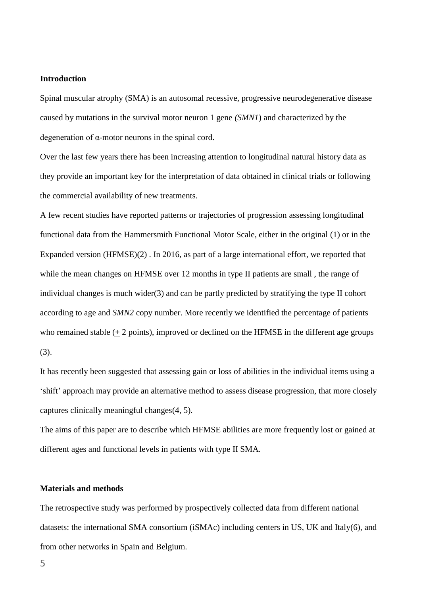#### **Introduction**

Spinal muscular atrophy (SMA) is an autosomal recessive, progressive neurodegenerative disease caused by mutations in the survival motor neuron 1 gene *(SMN1*) and characterized by the degeneration of α-motor neurons in the spinal cord.

Over the last few years there has been increasing attention to longitudinal natural history data as they provide an important key for the interpretation of data obtained in clinical trials or following the commercial availability of new treatments.

A few recent studies have reported patterns or trajectories of progression assessing longitudinal functional data from the Hammersmith Functional Motor Scale, either in the original (1) or in the Expanded version (HFMSE)(2) . In 2016, as part of a large international effort, we reported that while the mean changes on HFMSE over 12 months in type II patients are small , the range of individual changes is much wider(3) and can be partly predicted by stratifying the type II cohort according to age and *SMN2* copy number. More recently we identified the percentage of patients who remained stable  $(+ 2 \text{ points})$ , improved or declined on the HFMSE in the different age groups (3).

It has recently been suggested that assessing gain or loss of abilities in the individual items using a 'shift' approach may provide an alternative method to assess disease progression, that more closely captures clinically meaningful changes(4, 5).

The aims of this paper are to describe which HFMSE abilities are more frequently lost or gained at different ages and functional levels in patients with type II SMA.

#### **Materials and methods**

The retrospective study was performed by prospectively collected data from different national datasets: the international SMA consortium (iSMAc) including centers in US, UK and Italy(6), and from other networks in Spain and Belgium.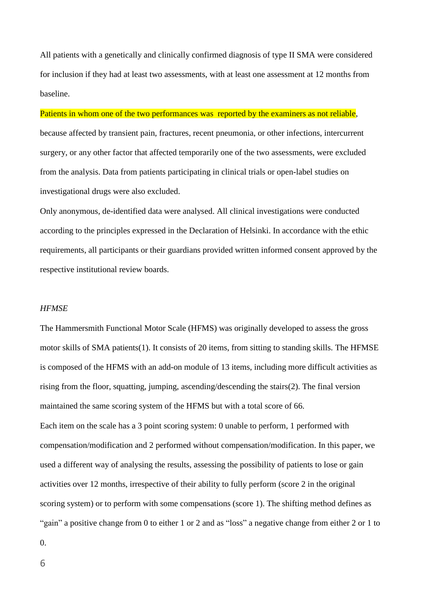All patients with a genetically and clinically confirmed diagnosis of type II SMA were considered for inclusion if they had at least two assessments, with at least one assessment at 12 months from baseline.

## Patients in whom one of the two performances was reported by the examiners as not reliable,

because affected by transient pain, fractures, recent pneumonia, or other infections, intercurrent surgery, or any other factor that affected temporarily one of the two assessments, were excluded from the analysis. Data from patients participating in clinical trials or open-label studies on investigational drugs were also excluded.

Only anonymous, de-identified data were analysed. All clinical investigations were conducted according to the principles expressed in the Declaration of Helsinki. In accordance with the ethic requirements, all participants or their guardians provided written informed consent approved by the respective institutional review boards.

#### *HFMSE*

The Hammersmith Functional Motor Scale (HFMS) was originally developed to assess the gross motor skills of SMA patients(1). It consists of 20 items, from sitting to standing skills. The HFMSE is composed of the HFMS with an add-on module of 13 items, including more difficult activities as rising from the floor, squatting, jumping, ascending/descending the stairs(2). The final version maintained the same scoring system of the HFMS but with a total score of 66. Each item on the scale has a 3 point scoring system: 0 unable to perform, 1 performed with compensation/modification and 2 performed without compensation/modification. In this paper, we used a different way of analysing the results, assessing the possibility of patients to lose or gain activities over 12 months, irrespective of their ability to fully perform (score 2 in the original scoring system) or to perform with some compensations (score 1). The shifting method defines as "gain" a positive change from 0 to either 1 or 2 and as "loss" a negative change from either 2 or 1 to

0.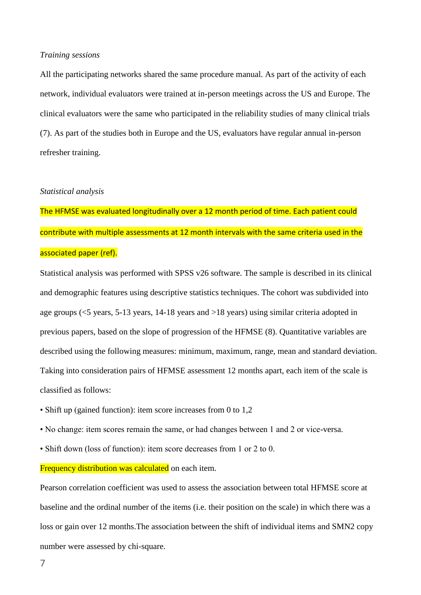#### *Training sessions*

All the participating networks shared the same procedure manual. As part of the activity of each network, individual evaluators were trained at in-person meetings across the US and Europe. The clinical evaluators were the same who participated in the reliability studies of many clinical trials (7). As part of the studies both in Europe and the US, evaluators have regular annual in-person refresher training.

#### *Statistical analysis*

The HFMSE was evaluated longitudinally over a 12 month period of time. Each patient could contribute with multiple assessments at 12 month intervals with the same criteria used in the associated paper (ref).

Statistical analysis was performed with SPSS v26 software. The sample is described in its clinical and demographic features using descriptive statistics techniques. The cohort was subdivided into age groups (<5 years, 5-13 years, 14-18 years and >18 years) using similar criteria adopted in previous papers, based on the slope of progression of the HFMSE (8). Quantitative variables are described using the following measures: minimum, maximum, range, mean and standard deviation. Taking into consideration pairs of HFMSE assessment 12 months apart, each item of the scale is classified as follows:

- Shift up (gained function): item score increases from 0 to 1,2
- No change: item scores remain the same, or had changes between 1 and 2 or vice-versa.
- Shift down (loss of function): item score decreases from 1 or 2 to 0.

**Frequency distribution was calculated** on each item.

Pearson correlation coefficient was used to assess the association between total HFMSE score at baseline and the ordinal number of the items (i.e. their position on the scale) in which there was a loss or gain over 12 months.The association between the shift of individual items and SMN2 copy number were assessed by chi-square.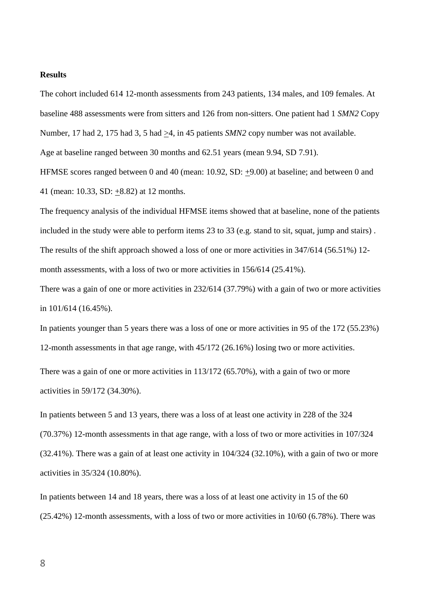## **Results**

The cohort included 614 12-month assessments from 243 patients, 134 males, and 109 females. At baseline 488 assessments were from sitters and 126 from non-sitters. One patient had 1 *SMN2* Copy Number, 17 had 2, 175 had 3, 5 had >4, in 45 patients *SMN2* copy number was not available.

HFMSE scores ranged between 0 and 40 (mean: 10.92, SD: +9.00) at baseline; and between 0 and

Age at baseline ranged between 30 months and 62.51 years (mean 9.94, SD 7.91).

41 (mean: 10.33, SD:  $\pm$ 8.82) at 12 months.

The frequency analysis of the individual HFMSE items showed that at baseline, none of the patients included in the study were able to perform items 23 to 33 (e.g. stand to sit, squat, jump and stairs) . The results of the shift approach showed a loss of one or more activities in 347/614 (56.51%) 12 month assessments, with a loss of two or more activities in 156/614 (25.41%).

There was a gain of one or more activities in 232/614 (37.79%) with a gain of two or more activities in 101/614 (16.45%).

In patients younger than 5 years there was a loss of one or more activities in 95 of the 172 (55.23%) 12-month assessments in that age range, with 45/172 (26.16%) losing two or more activities.

There was a gain of one or more activities in 113/172 (65.70%), with a gain of two or more activities in 59/172 (34.30%).

In patients between 5 and 13 years, there was a loss of at least one activity in 228 of the 324 (70.37%) 12-month assessments in that age range, with a loss of two or more activities in 107/324 (32.41%). There was a gain of at least one activity in 104/324 (32.10%), with a gain of two or more activities in 35/324 (10.80%).

In patients between 14 and 18 years, there was a loss of at least one activity in 15 of the 60 (25.42%) 12-month assessments, with a loss of two or more activities in 10/60 (6.78%). There was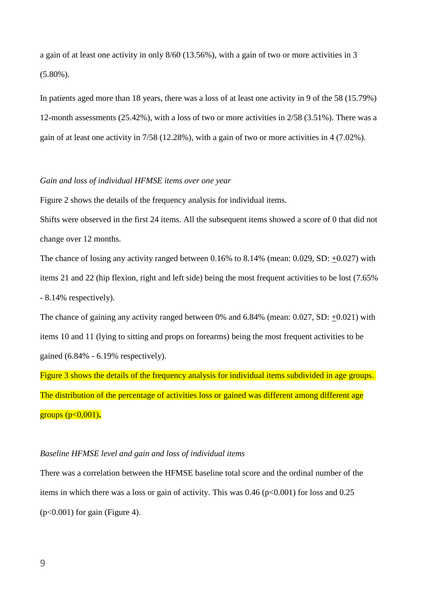a gain of at least one activity in only 8/60 (13.56%), with a gain of two or more activities in 3  $(5.80\%)$ .

In patients aged more than 18 years, there was a loss of at least one activity in 9 of the 58 (15.79%) 12-month assessments (25.42%), with a loss of two or more activities in 2/58 (3.51%). There was a gain of at least one activity in 7/58 (12.28%), with a gain of two or more activities in 4 (7.02%).

#### *Gain and loss of individual HFMSE items over one year*

Figure 2 shows the details of the frequency analysis for individual items.

Shifts were observed in the first 24 items. All the subsequent items showed a score of 0 that did not change over 12 months.

The chance of losing any activity ranged between 0.16% to 8.14% (mean: 0.029, SD: +0.027) with items 21 and 22 (hip flexion, right and left side) being the most frequent activities to be lost (7.65% - 8.14% respectively).

The chance of gaining any activity ranged between 0% and 6.84% (mean: 0.027, SD: +0.021) with items 10 and 11 (lying to sitting and props on forearms) being the most frequent activities to be gained (6.84% - 6.19% respectively).

Figure 3 shows the details of the frequency analysis for individual items subdivided in age groups. The distribution of the percentage of activities loss or gained was different among different age groups (p<0,001)**.**

### *Baseline HFMSE level and gain and loss of individual items*

There was a correlation between the HFMSE baseline total score and the ordinal number of the items in which there was a loss or gain of activity. This was  $0.46$  ( $p<0.001$ ) for loss and  $0.25$  $(p<0.001)$  for gain (Figure 4).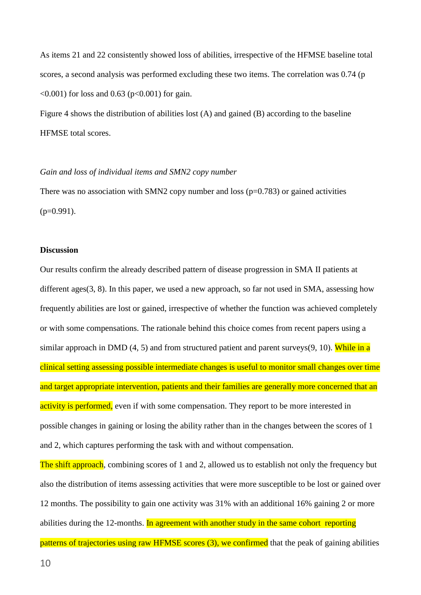As items 21 and 22 consistently showed loss of abilities, irrespective of the HFMSE baseline total scores, a second analysis was performed excluding these two items. The correlation was 0.74 (p  $\leq 0.001$ ) for loss and 0.63 (p $\leq 0.001$ ) for gain.

Figure 4 shows the distribution of abilities lost (A) and gained (B) according to the baseline HFMSE total scores.

#### *Gain and loss of individual items and SMN2 copy number*

There was no association with SMN2 copy number and loss  $(p=0.783)$  or gained activities  $(p=0.991)$ .

#### **Discussion**

Our results confirm the already described pattern of disease progression in SMA II patients at different ages(3, 8). In this paper, we used a new approach, so far not used in SMA, assessing how frequently abilities are lost or gained, irrespective of whether the function was achieved completely or with some compensations. The rationale behind this choice comes from recent papers using a similar approach in DMD  $(4, 5)$  and from structured patient and parent surveys $(9, 10)$ . While in a clinical setting assessing possible intermediate changes is useful to monitor small changes over time and target appropriate intervention, patients and their families are generally more concerned that an activity is performed, even if with some compensation. They report to be more interested in possible changes in gaining or losing the ability rather than in the changes between the scores of 1 and 2, which captures performing the task with and without compensation.

The shift approach, combining scores of 1 and 2, allowed us to establish not only the frequency but also the distribution of items assessing activities that were more susceptible to be lost or gained over 12 months. The possibility to gain one activity was 31% with an additional 16% gaining 2 or more abilities during the 12-months. In agreement with another study in the same cohort reporting

patterns of trajectories using raw HFMSE scores (3), we confirmed that the peak of gaining abilities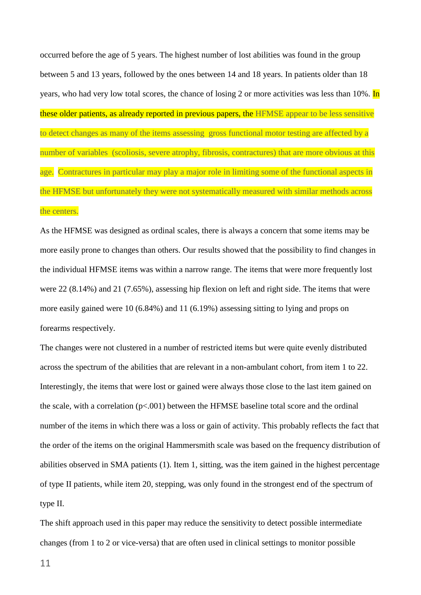occurred before the age of 5 years. The highest number of lost abilities was found in the group between 5 and 13 years, followed by the ones between 14 and 18 years. In patients older than 18 years, who had very low total scores, the chance of losing 2 or more activities was less than 10%. In these older patients, as already reported in previous papers, the HFMSE appear to be less sensitive to detect changes as many of the items assessing gross functional motor testing are affected by a number of variables (scoliosis, severe atrophy, fibrosis, contractures) that are more obvious at this age. Contractures in particular may play a major role in limiting some of the functional aspects in the HFMSE but unfortunately they were not systematically measured with similar methods across the centers.

As the HFMSE was designed as ordinal scales, there is always a concern that some items may be more easily prone to changes than others. Our results showed that the possibility to find changes in the individual HFMSE items was within a narrow range. The items that were more frequently lost were 22 (8.14%) and 21 (7.65%), assessing hip flexion on left and right side. The items that were more easily gained were 10 (6.84%) and 11 (6.19%) assessing sitting to lying and props on forearms respectively.

The changes were not clustered in a number of restricted items but were quite evenly distributed across the spectrum of the abilities that are relevant in a non-ambulant cohort, from item 1 to 22. Interestingly, the items that were lost or gained were always those close to the last item gained on the scale, with a correlation ( $p<0.001$ ) between the HFMSE baseline total score and the ordinal number of the items in which there was a loss or gain of activity. This probably reflects the fact that the order of the items on the original Hammersmith scale was based on the frequency distribution of abilities observed in SMA patients (1). Item 1, sitting, was the item gained in the highest percentage of type II patients, while item 20, stepping, was only found in the strongest end of the spectrum of type II.

The shift approach used in this paper may reduce the sensitivity to detect possible intermediate changes (from 1 to 2 or vice-versa) that are often used in clinical settings to monitor possible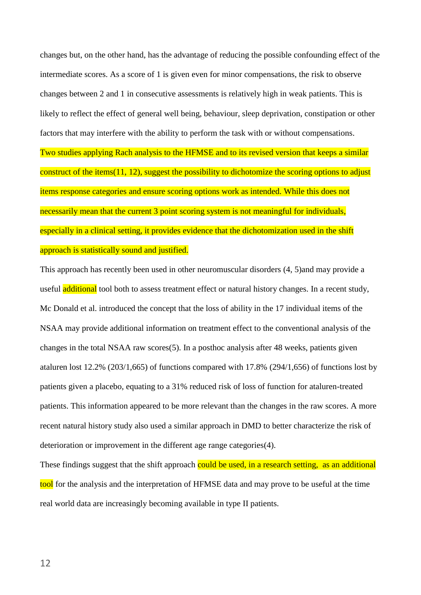changes but, on the other hand, has the advantage of reducing the possible confounding effect of the intermediate scores. As a score of 1 is given even for minor compensations, the risk to observe changes between 2 and 1 in consecutive assessments is relatively high in weak patients. This is likely to reflect the effect of general well being, behaviour, sleep deprivation, constipation or other factors that may interfere with the ability to perform the task with or without compensations. Two studies applying Rach analysis to the HFMSE and to its revised version that keeps a similar construct of the items(11, 12), suggest the possibility to dichotomize the scoring options to adjust items response categories and ensure scoring options work as intended. While this does not necessarily mean that the current 3 point scoring system is not meaningful for individuals, especially in a clinical setting, it provides evidence that the dichotomization used in the shift approach is statistically sound and justified.

This approach has recently been used in other neuromuscular disorders (4, 5)and may provide a useful **additional** tool both to assess treatment effect or natural history changes. In a recent study, Mc Donald et al. introduced the concept that the loss of ability in the 17 individual items of the NSAA may provide additional information on treatment effect to the conventional analysis of the changes in the total NSAA raw scores(5). In a posthoc analysis after 48 weeks, patients given ataluren lost 12.2% (203/1,665) of functions compared with 17.8% (294/1,656) of functions lost by patients given a placebo, equating to a 31% reduced risk of loss of function for ataluren-treated patients. This information appeared to be more relevant than the changes in the raw scores. A more recent natural history study also used a similar approach in DMD to better characterize the risk of deterioration or improvement in the different age range categories(4).

These findings suggest that the shift approach could be used, in a research setting, as an additional tool for the analysis and the interpretation of HFMSE data and may prove to be useful at the time real world data are increasingly becoming available in type II patients.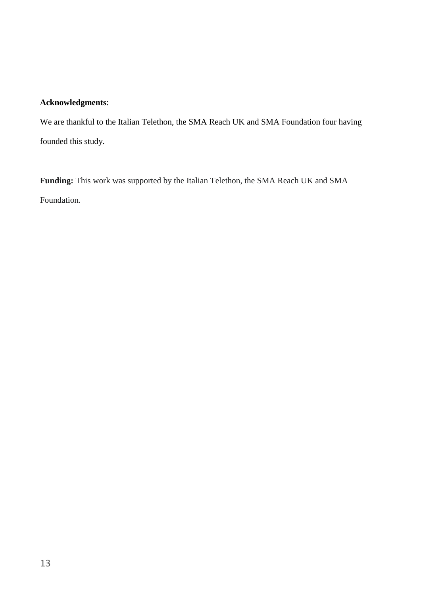# **Acknowledgments**:

We are thankful to the Italian Telethon, the SMA Reach UK and SMA Foundation four having founded this study.

**Funding:** This work was supported by the Italian Telethon, the SMA Reach UK and SMA Foundation.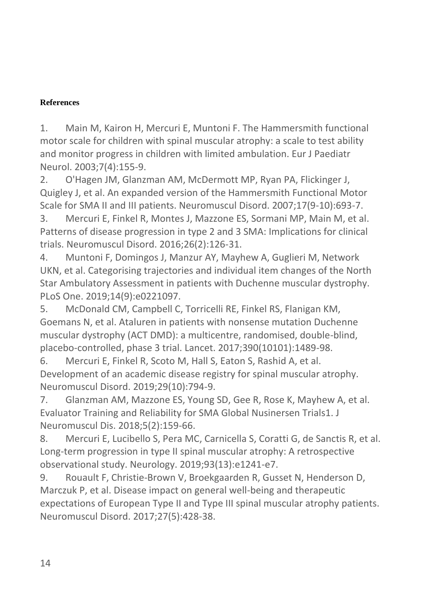# **References**

1. Main M, Kairon H, Mercuri E, Muntoni F. The Hammersmith functional motor scale for children with spinal muscular atrophy: a scale to test ability and monitor progress in children with limited ambulation. Eur J Paediatr Neurol. 2003;7(4):155-9.

2. O'Hagen JM, Glanzman AM, McDermott MP, Ryan PA, Flickinger J, Quigley J, et al. An expanded version of the Hammersmith Functional Motor Scale for SMA II and III patients. Neuromuscul Disord. 2007;17(9-10):693-7.

3. Mercuri E, Finkel R, Montes J, Mazzone ES, Sormani MP, Main M, et al. Patterns of disease progression in type 2 and 3 SMA: Implications for clinical trials. Neuromuscul Disord. 2016;26(2):126-31.

4. Muntoni F, Domingos J, Manzur AY, Mayhew A, Guglieri M, Network UKN, et al. Categorising trajectories and individual item changes of the North Star Ambulatory Assessment in patients with Duchenne muscular dystrophy. PLoS One. 2019;14(9):e0221097.

5. McDonald CM, Campbell C, Torricelli RE, Finkel RS, Flanigan KM, Goemans N, et al. Ataluren in patients with nonsense mutation Duchenne muscular dystrophy (ACT DMD): a multicentre, randomised, double-blind, placebo-controlled, phase 3 trial. Lancet. 2017;390(10101):1489-98.

6. Mercuri E, Finkel R, Scoto M, Hall S, Eaton S, Rashid A, et al. Development of an academic disease registry for spinal muscular atrophy. Neuromuscul Disord. 2019;29(10):794-9.

7. Glanzman AM, Mazzone ES, Young SD, Gee R, Rose K, Mayhew A, et al. Evaluator Training and Reliability for SMA Global Nusinersen Trials1. J Neuromuscul Dis. 2018;5(2):159-66.

8. Mercuri E, Lucibello S, Pera MC, Carnicella S, Coratti G, de Sanctis R, et al. Long-term progression in type II spinal muscular atrophy: A retrospective observational study. Neurology. 2019;93(13):e1241-e7.

9. Rouault F, Christie-Brown V, Broekgaarden R, Gusset N, Henderson D, Marczuk P, et al. Disease impact on general well-being and therapeutic expectations of European Type II and Type III spinal muscular atrophy patients. Neuromuscul Disord. 2017;27(5):428-38.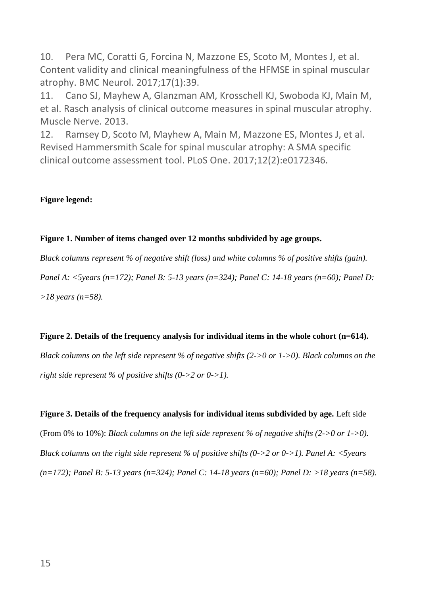10. Pera MC, Coratti G, Forcina N, Mazzone ES, Scoto M, Montes J, et al. Content validity and clinical meaningfulness of the HFMSE in spinal muscular atrophy. BMC Neurol. 2017;17(1):39.

11. Cano SJ, Mayhew A, Glanzman AM, Krosschell KJ, Swoboda KJ, Main M, et al. Rasch analysis of clinical outcome measures in spinal muscular atrophy. Muscle Nerve. 2013.

12. Ramsey D, Scoto M, Mayhew A, Main M, Mazzone ES, Montes J, et al. Revised Hammersmith Scale for spinal muscular atrophy: A SMA specific clinical outcome assessment tool. PLoS One. 2017;12(2):e0172346.

## **Figure legend:**

## **Figure 1. Number of items changed over 12 months subdivided by age groups.**

*Black columns represent % of negative shift (loss) and white columns % of positive shifts (gain). Panel A: <5years (n=172); Panel B: 5-13 years (n=324); Panel C: 14-18 years (n=60); Panel D: >18 years (n=58).*

## **Figure 2. Details of the frequency analysis for individual items in the whole cohort (n=614).**

*Black columns on the left side represent % of negative shifts (2->0 or 1->0). Black columns on the right side represent % of positive shifts (0->2 or 0->1).*

**Figure 3. Details of the frequency analysis for individual items subdivided by age.** Left side (From 0% to 10%): *Black columns on the left side represent % of negative shifts (2->0 or 1->0). Black columns on the right side represent % of positive shifts (0->2 or 0->1). Panel A: <5years (n=172); Panel B: 5-13 years (n=324); Panel C: 14-18 years (n=60); Panel D: >18 years (n=58).*